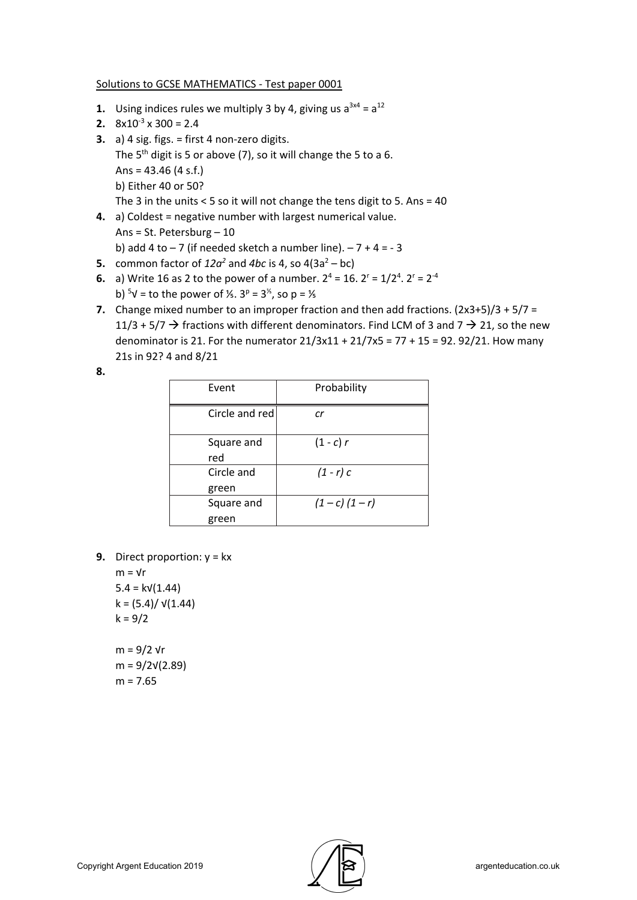## Solutions to GCSE MATHEMATICS - Test paper 0001

- **1.** Using indices rules we multiply 3 by 4, giving us  $a^{3x4} = a^{12}$
- **2.**  $8x10^{-3} \times 300 = 2.4$
- **3.** a) 4 sig. figs. = first 4 non-zero digits. The  $5<sup>th</sup>$  digit is 5 or above (7), so it will change the 5 to a 6. Ans =  $43.46$  (4 s.f.) b) Either 40 or 50? The 3 in the units < 5 so it will not change the tens digit to 5. Ans = 40
- **4.** a) Coldest = negative number with largest numerical value. Ans = St. Petersburg – 10 b) add 4 to  $-7$  (if needed sketch a number line).  $-7 + 4 = -3$
- **5.** common factor of  $12a^2$  and  $4bc$  is 4, so  $4(3a^2 bc)$
- **6.** a) Write 16 as 2 to the power of a number.  $2^4 = 16$ .  $2^r = 1/2^4$ .  $2^r = 2^{-4}$ b)  $5\sqrt{ }$  = to the power of  $\frac{1}{5}$ . 3<sup>p</sup> = 3<sup>1/3</sup>, so p = 1/3
- **7.** Change mixed number to an improper fraction and then add fractions. (2x3+5)/3 + 5/7 = 11/3 + 5/7  $\rightarrow$  fractions with different denominators. Find LCM of 3 and 7  $\rightarrow$  21, so the new denominator is 21. For the numerator  $21/3x11 + 21/7x5 = 77 + 15 = 92.92/21$ . How many 21s in 92? 4 and 8/21
- **8.**

| Event               | Probability       |  |  |
|---------------------|-------------------|--|--|
| Circle and red      | cr                |  |  |
| Square and<br>red   | $(1 - c) r$       |  |  |
| Circle and<br>green | $(1-r)$ c         |  |  |
| Square and<br>green | $(1 - c) (1 - r)$ |  |  |

**9.** Direct proportion: y = kx

 $m = \sqrt{r}$  $5.4 = kV(1.44)$  $k = (5.4) / \sqrt{(1.44)}$  $k = 9/2$ m = 9/2 √r m = 9/2√(2.89)

 $m = 7.65$ 

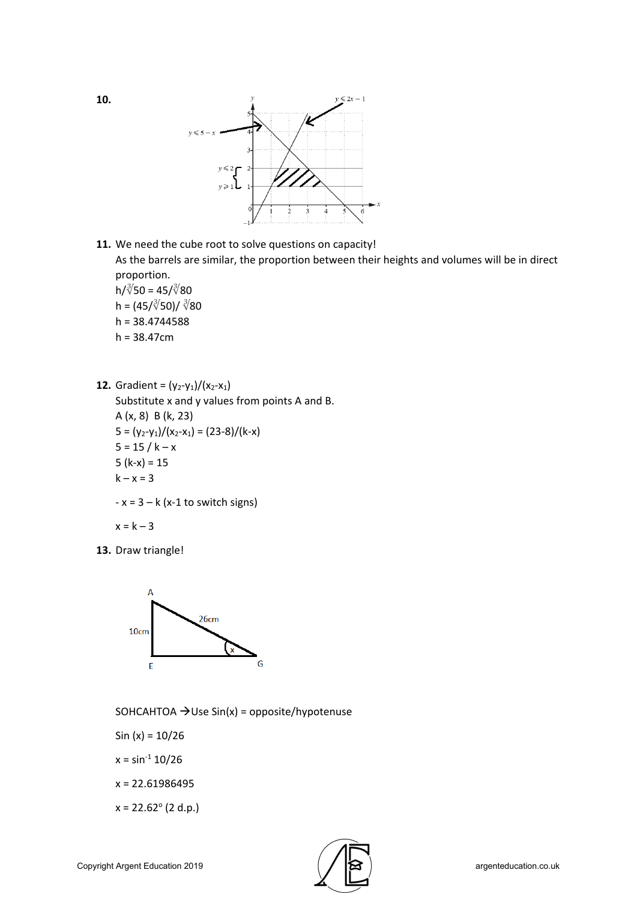

**11.** We need the cube root to solve questions on capacity! As the barrels are similar, the proportion between their heights and volumes will be in direct proportion.

 $h/\sqrt[3]{50} = 45/\sqrt[3]{80}$ h =  $(45/\sqrt[3]{50})/\sqrt[3]{80}$  $h = 38.4744588$  $h = 38.47cm$ 

**12.** Gradient =  $(y_2-y_1)/(x_2-x_1)$ Substitute x and y values from points A and B. A (x, 8) B (k, 23)  $5 = (y_2-y_1)/(x_2-x_1) = (23-8)/(k-x)$  $5 = 15 / k - x$ 5 ( $k-x$ ) = 15  $k - x = 3$  $-x = 3 - k$  (x-1 to switch signs)

$$
x = k - 3
$$

**13.** Draw triangle!



SOHCAHTOA  $\rightarrow$  Use Sin(x) = opposite/hypotenuse

Sin (x) = 10/26

- $x = \sin^{-1} 10/26$
- x = 22.61986495
- $x = 22.62^{\circ}$  (2 d.p.)

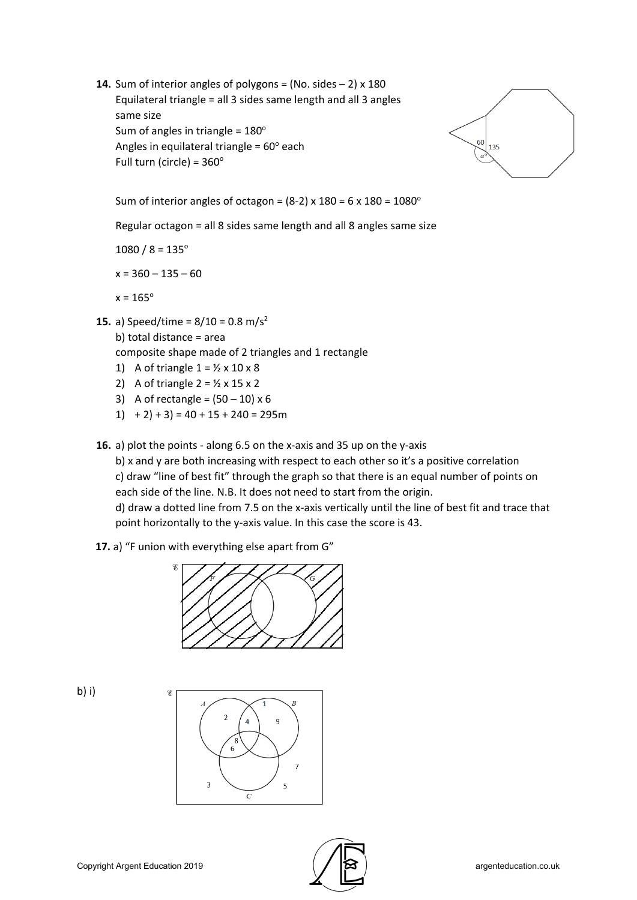**14.** Sum of interior angles of polygons = (No. sides  $-2$ ) x 180 Equilateral triangle = all 3 sides same length and all 3 angles same size Sum of angles in triangle =  $180^\circ$ Angles in equilateral triangle =  $60^\circ$  each Full turn (circle) =  $360^\circ$ 



Sum of interior angles of octagon =  $(8-2)$  x 180 = 6 x 180 = 1080 $^{\circ}$ 

Regular octagon = all 8 sides same length and all 8 angles same size

 $1080 / 8 = 135^{\circ}$ 

 $x = 360 - 135 - 60$ 

 $x = 165^{\circ}$ 

**15.** a) Speed/time =  $8/10 = 0.8$  m/s<sup>2</sup>

b) total distance = area

composite shape made of 2 triangles and 1 rectangle

- 1) A of triangle  $1 = \frac{1}{2} \times 10 \times 8$
- 2) A of triangle  $2 = \frac{1}{2} \times 15 \times 2$
- 3) A of rectangle =  $(50 10) \times 6$
- 1)  $+ 2$  + 3) = 40 + 15 + 240 = 295m
- **16.** a) plot the points along 6.5 on the x-axis and 35 up on the y-axis

b) x and y are both increasing with respect to each other so it's a positive correlation c) draw "line of best fit" through the graph so that there is an equal number of points on each side of the line. N.B. It does not need to start from the origin.

d) draw a dotted line from 7.5 on the x-axis vertically until the line of best fit and trace that point horizontally to the y-axis value. In this case the score is 43.

## **17.** a) "F union with everything else apart from G"



b) i)



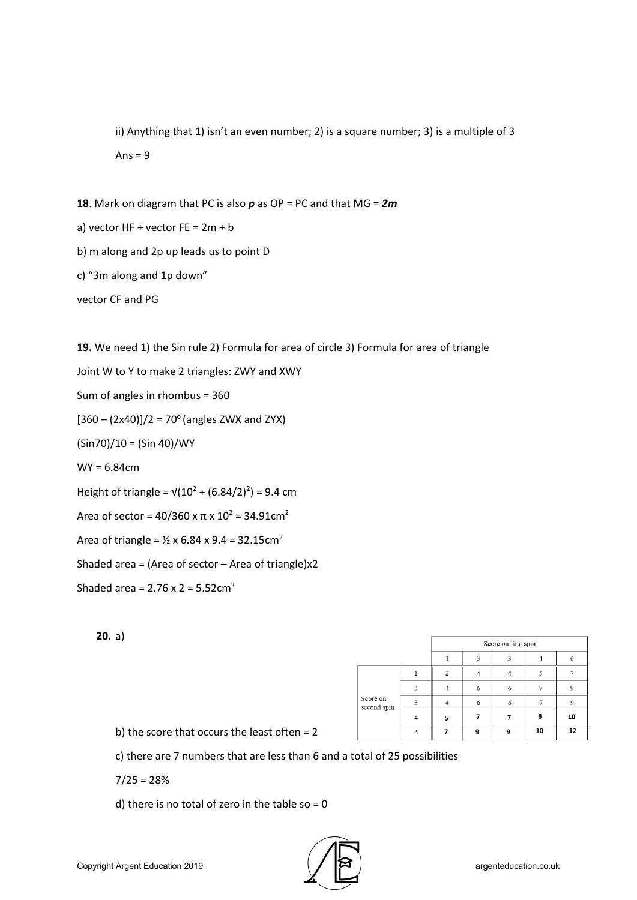ii) Anything that 1) isn't an even number; 2) is a square number; 3) is a multiple of 3 Ans  $= 9$ 

**18**. Mark on diagram that PC is also *p* as OP = PC and that MG = *2m*

a) vector  $HF + vector FE = 2m + b$ 

b) m along and 2p up leads us to point D

c) "3m along and 1p down"

vector CF and PG

**19.** We need 1) the Sin rule 2) Formula for area of circle 3) Formula for area of triangle Joint W to Y to make 2 triangles: ZWY and XWY Sum of angles in rhombus = 360  $[360 - (2x40)]/2 = 70^{\circ}$  (angles ZWX and ZYX) (Sin70)/10 = (Sin 40)/WY WY = 6.84cm Height of triangle =  $\sqrt{(10^2 + (6.84/2)^2)} = 9.4$  cm Area of sector =  $40/360$  x π x  $10^2$  = 34.91cm<sup>2</sup> Area of triangle =  $\frac{1}{2}$  x 6.84 x 9.4 = 32.15cm<sup>2</sup> Shaded area = (Area of sector  $-$  Area of triangle) $x2$ Shaded area =  $2.76 \times 2 = 5.52 \text{cm}^2$ 

**20.** a)

|                         |                    | Score on first spin |   |   |    |             |
|-------------------------|--------------------|---------------------|---|---|----|-------------|
|                         |                    |                     | 3 | 3 |    | 6           |
| Score on<br>second spin |                    |                     |   |   |    |             |
|                         | $\mathbf{\hat{z}}$ |                     | 6 | 6 |    | $\mathsf Q$ |
|                         | $\mathbf{3}$       |                     | 6 | 6 |    | $\mathbf Q$ |
|                         |                    | 5                   |   |   | 8  | 10          |
|                         | 6                  |                     | ٥ | ۰ | 10 | 12          |

b) the score that occurs the least often = 2

c) there are 7 numbers that are less than 6 and a total of 25 possibilities

 $7/25 = 28%$ 

d) there is no total of zero in the table so  $= 0$